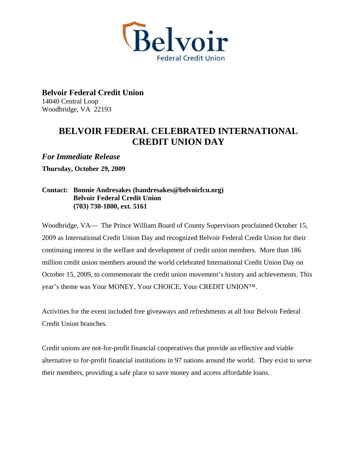

**Belvoir Federal Credit Union**  14040 Central Loop Woodbridge, VA 22193

## **BELVOIR FEDERAL CELEBRATED INTERNATIONAL CREDIT UNION DAY**

*For Immediate Release* 

**Thursday, October 29, 2009** 

## **Contact: Bonnie Andresakes (bandresakes@belvoirfcu.org) Belvoir Federal Credit Union (703) 730-1800, ext. 5161**

Woodbridge, VA— The Prince William Board of County Supervisors proclaimed October 15, 2009 as International Credit Union Day and recognized Belvoir Federal Credit Union for their continuing interest in the welfare and development of credit union members. More than 186 million credit union members around the world celebrated International Credit Union Day on October 15, 2009, to commemorate the credit union movement's history and achievements. This year's theme was Your MONEY, Your CHOICE, Your CREDIT UNION™.

Activities for the event included free giveaways and refreshments at all four Belvoir Federal Credit Union branches.

Credit unions are not-for-profit financial cooperatives that provide an effective and viable alternative to for-profit financial institutions in 97 nations around the world. They exist to serve their members, providing a safe place to save money and access affordable loans.